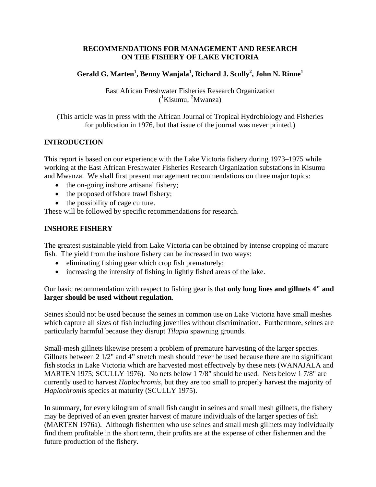### **RECOMMENDATIONS FOR MANAGEMENT AND RESEARCH ON THE FISHERY OF LAKE VICTORIA**

# $\mathbf{G}\text{erald}\ \mathbf{G}.$  Marten $^1$ , Benny Wanjala $^1$ , Richard J. Scully $^2$ , John N. Rinne $^1$

East African Freshwater Fisheries Research Organization  $({}^{1}$ Kisumu; <sup>2</sup>Mwanza)

(This article was in press with the African Journal of Tropical Hydrobiology and Fisheries for publication in 1976, but that issue of the journal was never printed.)

## **INTRODUCTION**

This report is based on our experience with the Lake Victoria fishery during 1973–1975 while working at the East African Freshwater Fisheries Research Organization substations in Kisumu and Mwanza. We shall first present management recommendations on three major topics:

- the on-going inshore artisanal fishery;
- the proposed offshore trawl fishery;
- the possibility of cage culture.

These will be followed by specific recommendations for research.

### **INSHORE FISHERY**

The greatest sustainable yield from Lake Victoria can be obtained by intense cropping of mature fish. The yield from the inshore fishery can be increased in two ways:

- eliminating fishing gear which crop fish prematurely;
- increasing the intensity of fishing in lightly fished areas of the lake.

Our basic recommendation with respect to fishing gear is that **only long lines and gillnets 4" and larger should be used without regulation**.

Seines should not be used because the seines in common use on Lake Victoria have small meshes which capture all sizes of fish including juveniles without discrimination. Furthermore, seines are particularly harmful because they disrupt *Tilapia* spawning grounds.

Small-mesh gillnets likewise present a problem of premature harvesting of the larger species. Gillnets between 2 1/2" and 4" stretch mesh should never be used because there are no significant fish stocks in Lake Victoria which are harvested most effectively by these nets (WANAJALA and MARTEN 1975; SCULLY 1976). No nets below 1 7/8" should be used. Nets below 1 7/8" are currently used to harvest *Haplochromis*, but they are too small to properly harvest the majority of *Haplochromis* species at maturity (SCULLY 1975).

In summary, for every kilogram of small fish caught in seines and small mesh gillnets, the fishery may be deprived of an even greater harvest of mature individuals of the larger species of fish (MARTEN 1976a). Although fishermen who use seines and small mesh gillnets may individually find them profitable in the short term, their profits are at the expense of other fishermen and the future production of the fishery.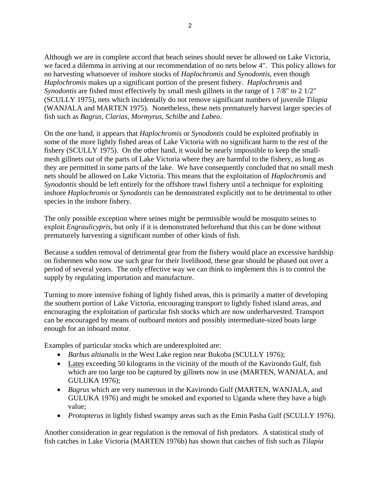Although we are in complete accord that beach seines should never be allowed on Lake Victoria, we faced a dilemma in arriving at our recommendation of no nets below 4". This policy allows for no harvesting whatsoever of inshore stocks of *Haplochromis* and *Synodontis*, even though *Haplochromis* makes up a significant portion of the present fishery. *Haplochromis* and *Synodontis* are fished most effectively by small mesh gillnets in the range of 1 7/8" to 2 1/2" (SCULLY 1975), nets which incidentally do not remove significant numbers of juvenile *Tilapia* (WANJALA and MARTEN 1975). Nonetheless, these nets prematurely harvest larger species of fish such as *Bagrus*, *Clarias*, *Mormyrus*, *Schilbe* and *Labeo*.

On the one hand, it appears that *Haplochromis* or *Synodontis* could be exploited profitably in some of the more lightly fished areas of Lake Victoria with no significant harm to the rest of the fishery (SCULLY 1975). On the other hand, it would be nearly impossible to keep the smallmesh gillnets out of the parts of Lake Victoria where they are harmful to the fishery, as long as they are permitted in some parts of the lake. We have consequently concluded that no small mesh nets should be allowed on Lake Victoria. This means that the exploitation of *Haplochromis* and *Synodontis* should be left entirely for the offshore trawl fishery until a technique for exploiting inshore *Haplochromis* or *Synodontis* can be demonstrated explicitly not to be detrimental to other species in the inshore fishery.

The only possible exception where seines might be permissible would be mosquito seines to exploit *Engraulicypris*, but only if it is demonstrated beforehand that this can be done without prematurely harvesting a significant number of other kinds of fish.

Because a sudden removal of detrimental gear from the fishery would place an excessive hardship on fishermen who now use such gear for their livelihood, these gear should be phased out over a period of several years. The only effective way we can think to implement this is to control the supply by regulating importation and manufacture.

Turning to more intensive fishing of lightly fished areas, this is primarily a matter of developing the southern portion of Lake Victoria, encouraging transport to lightly fished island areas, and encouraging the exploitation of particular fish stocks which are now underharvested. Transport can be encouraged by means of outboard motors and possibly intermediate-sized boats large enough for an inboard motor.

Examples of particular stocks which are underexploited are:

- *Barbus altianalis* in the West Lake region near Bukoba (SCULLY 1976);
- Lates exceeding 50 kilograms in the vicinity of the mouth of the Kavirondo Gulf, fish which are too large too be captured by gillnets now in use (MARTEN, WANJALA, and GULUKA 1976);
- *Bagrus* which are very numerous in the Kavirondo Gulf (MARTEN, WANJALA, and GULUKA 1976) and might be smoked and exported to Uganda where they have a high value;
- *Protopterus* in lightly fished swampy areas such as the Emin Pasha Gulf (SCULLY 1976).

Another consideration in gear regulation is the removal of fish predators. A statistical study of fish catches in Lake Victoria (MARTEN 1976b) has shown that catches of fish such as *Tilapia*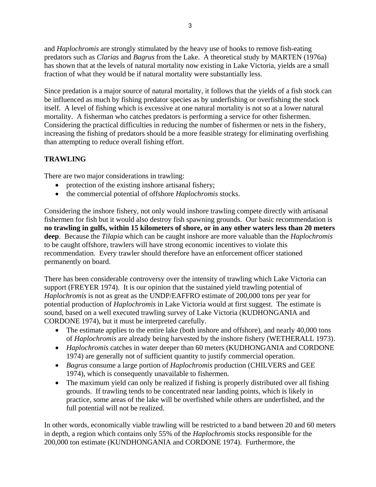and *Haplochromis* are strongly stimulated by the heavy use of hooks to remove fish-eating predators such as *Clarias* and *Bagrus* from the Lake. A theoretical study by MARTEN (1976a) has shown that at the levels of natural mortality now existing in Lake Victoria, yields are a small fraction of what they would be if natural mortality were substantially less.

Since predation is a major source of natural mortality, it follows that the yields of a fish stock can be influenced as much by fishing predator species as by underfishing or overfishing the stock itself. A level of fishing which is excessive at one natural mortality is not so at a lower natural mortality. A fisherman who catches predators is performing a service for other fishermen. Considering the practical difficulties in reducing the number of fishermen or nets in the fishery, increasing the fishing of predators should be a more feasible strategy for eliminating overfishing than attempting to reduce overall fishing effort.

# **TRAWLING**

There are two major considerations in trawling:

- protection of the existing inshore artisanal fishery;
- the commercial potential of offshore *Haplochromis* stocks.

Considering the inshore fishery, not only would inshore trawling compete directly with artisanal fishermen for fish but it would also destroy fish spawning grounds. Our basic recommendation is **no trawling in gulfs, within 15 kilometers of shore, or in any other waters less than 20 meters deep**. Because the *Tilapia* which can be caught inshore are more valuable than the *Haplochromis* to be caught offshore, trawlers will have strong economic incentives to violate this recommendation. Every trawler should therefore have an enforcement officer stationed permanently on board.

There has been considerable controversy over the intensity of trawling which Lake Victoria can support (FREYER 1974). It is our opinion that the sustained yield trawling potential of *Haplochromis* is not as great as the UNDP/EAFFRO estimate of 200,000 tons per year for potential production of *Haplochromis* in Lake Victoria would at first suggest. The estimate is sound, based on a well executed trawling survey of Lake Victoria (KUDHONGANIA and CORDONE 1974), but it must be interpreted carefully.

- The estimate applies to the entire lake (both inshore and offshore), and nearly 40,000 tons of *Haplochromis* are already being harvested by the inshore fishery (WETHERALL 1973).
- *Haplochromis* catches in water deeper than 60 meters (KUDHONGANIA and CORDONE 1974) are generally not of sufficient quantity to justify commercial operation.
- *Bagrus* consume a large portion of *Haplochromis* production (CHILVERS and GEE 1974), which is consequently unavailable to fishermen.
- The maximum yield can only be realized if fishing is properly distributed over all fishing grounds. If trawling tends to be concentrated near landing points, which is likely in practice, some areas of the lake will be overfished while others are underfished, and the full potential will not be realized.

In other words, economically viable trawling will be restricted to a band between 20 and 60 meters in depth, a region which contains only 55% of the *Haplochromis* stocks responsible for the 200,000 ton estimate (KUNDHONGANIA and CORDONE 1974). Furthermore, the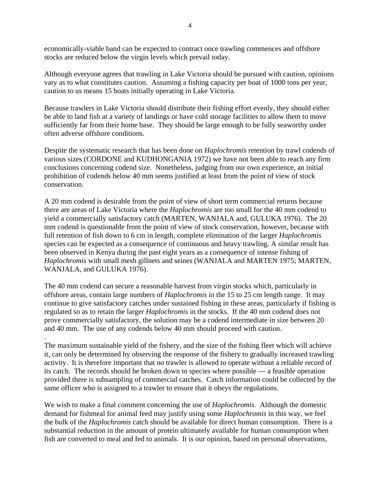economically-viable band can be expected to contract once trawling commences and offshore stocks are reduced below the virgin levels which prevail today.

Although everyone agrees that trawling in Lake Victoria should be pursued with caution, opinions vary as to what constitutes caution. Assuming a fishing capacity per boat of 1000 tons per year, caution to us means 15 boats initially operating in Lake Victoria.

Because trawlers in Lake Victoria should distribute their fishing effort evenly, they should either be able to land fish at a variety of landings or have cold storage facilities to allow them to move sufficiently far from their home base. They should be large enough to be fully seaworthy under often adverse offshore conditions.

Despite the systematic research that has been done on *Haplochromis* retention by trawl codends of various sizes (CORDONE and KUDHONGANIA 1972) we have not been able to reach any firm conclusions concerning codend size. Nonetheless, judging from our own experience, an initial prohibition of codends below 40 mm seems justified at least from the point of view of stock conservation.

A 20 mm codend is desirable from the point of view of short term commercial returns because there are areas of Lake Victoria where the *Haplochromis* are too small for the 40 mm codend to yield a commercially satisfactory catch (MARTEN, WANJALA and, GULUKA 1976). The 20 mm codend is questionable from the point of view of stock conservation, however, because with full retention of fish down to 6 cm in length, complete elimination of the larger *Haplochromis* species can be expected as a consequence of continuous and heavy trawling. A similar result has been observed in Kenya during the past eight years as a consequence of intense fishing of *Haplochromis* with small mesh gillnets and seines (WANJALA and MARTEN 1975; MARTEN, WANJALA, and GULUKA 1976).

The 40 mm codend can secure a reasonable harvest from virgin stocks which, particularly in offshore areas, contain large numbers of *Haplochromis* in the 15 to 25 cm length range. It may continue to give satisfactory catches under sustained fishing in these areas, particularly if fishing is regulated so as to retain the larger *Haplochromis* in the stocks. If the 40 mm codend does not prove commercially satisfactory, the solution may be a codend intermediate in size between 20 and 40 mm. The use of any codends below 40 mm should proceed with caution.

. The maximum sustainable yield of the fishery, and the size of the fishing fleet which will achieve it, can only be determined by observing the response of the fishery to gradually increased trawling activity. It is therefore important that no trawler is allowed to operate without a reliable record of its catch. The records should be broken down to species where possible — a feasible operation provided there is subsampling of commercial catches. Catch information could be collected by the same officer who is assigned to a trawler to ensure that it obeys the regulations.

We wish to make a final comment concerning the use of *Haplochromis*. Although the domestic demand for fishmeal for animal feed may justify using some *Haplochromis* in this way, we feel the bulk of the *Haplochromis* catch should be available for direct human consumption. There is a substantial reduction in the amount of protein ultimately available for human consumption when fish are converted to meal and fed to animals. It is our opinion, based on personal observations,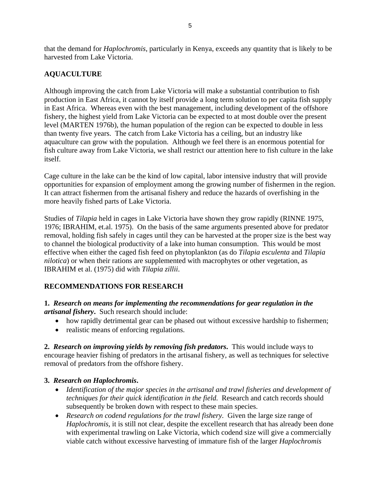that the demand for *Haplochromis*, particularly in Kenya, exceeds any quantity that is likely to be harvested from Lake Victoria.

# **AQUACULTURE**

Although improving the catch from Lake Victoria will make a substantial contribution to fish production in East Africa, it cannot by itself provide a long term solution to per capita fish supply in East Africa. Whereas even with the best management, including development of the offshore fishery, the highest yield from Lake Victoria can be expected to at most double over the present level (MARTEN 1976b), the human population of the region can be expected to double in less than twenty five years. The catch from Lake Victoria has a ceiling, but an industry like aquaculture can grow with the population. Although we feel there is an enormous potential for fish culture away from Lake Victoria, we shall restrict our attention here to fish culture in the lake itself.

Cage culture in the lake can be the kind of low capital, labor intensive industry that will provide opportunities for expansion of employment among the growing number of fishermen in the region. It can attract fishermen from the artisanal fishery and reduce the hazards of overfishing in the more heavily fished parts of Lake Victoria.

Studies of *Tilapia* held in cages in Lake Victoria have shown they grow rapidly (RINNE 1975, 1976; IBRAHIM, et.al. 1975). On the basis of the same arguments presented above for predator removal, holding fish safely in cages until they can be harvested at the proper size is the best way to channel the biological productivity of a lake into human consumption. This would be most effective when either the caged fish feed on phytoplankton (as do *Tilapia esculenta* and *Tilapia nilotica*) or when their rations are supplemented with macrophytes or other vegetation, as IBRAHIM et al. (1975) did with *Tilapia zillii*.

## **RECOMMENDATIONS FOR RESEARCH**

### **1.** *Research on means for implementing the recommendations for gear regulation in the artisanal fishery***.** Such research should include:

- how rapidly detrimental gear can be phased out without excessive hardship to fishermen;
- realistic means of enforcing regulations.

**2.** *Research on improving yields by removing fish predators***.** This would include ways to encourage heavier fishing of predators in the artisanal fishery, as well as techniques for selective removal of predators from the offshore fishery.

## **3.** *Research on Haplochromis***.**

- *Identification of the major species in the artisanal and trawl fisheries and development of techniques for their quick identification in the field.* Research and catch records should subsequently be broken down with respect to these main species.
- *Research on codend regulations for the trawl fishery.* Given the large size range of *Haplochromis*, it is still not clear, despite the excellent research that has already been done with experimental trawling on Lake Victoria, which codend size will give a commercially viable catch without excessive harvesting of immature fish of the larger *Haplochromis*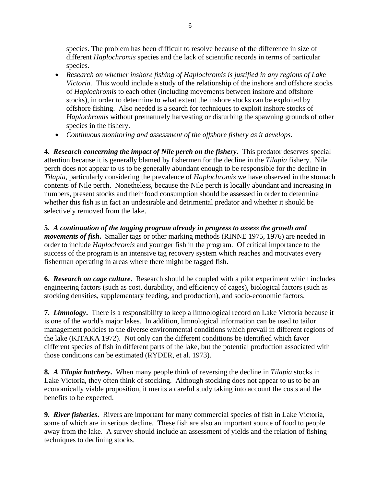species. The problem has been difficult to resolve because of the difference in size of different *Haplochromis* species and the lack of scientific records in terms of particular species.

- *Research on whether inshore fishing of Haplochromis is justified in any regions of Lake Victoria.* This would include a study of the relationship of the inshore and offshore stocks of *Haplochromis* to each other (including movements between inshore and offshore stocks), in order to determine to what extent the inshore stocks can be exploited by offshore fishing. Also needed is a search for techniques to exploit inshore stocks of *Haplochromis* without prematurely harvesting or disturbing the spawning grounds of other species in the fishery.
- *Continuous monitoring and assessment of the offshore fishery as it develops.*

**4.** *Research concerning the impact of Nile perch on the fishery***.** This predator deserves special attention because it is generally blamed by fishermen for the decline in the *Tilapia* fishery. Nile perch does not appear to us to be generally abundant enough to be responsible for the decline in *Tilapia*, particularly considering the prevalence of *Haplochromis* we have observed in the stomach contents of Nile perch. Nonetheless, because the Nile perch is locally abundant and increasing in numbers, present stocks and their food consumption should be assessed in order to determine whether this fish is in fact an undesirable and detrimental predator and whether it should be selectively removed from the lake.

**5.** *A continuation of the tagging program already in progress to assess the growth and movements of fish***.** Smaller tags or other marking methods (RINNE 1975, 1976) are needed in order to include *Haplochromis* and younger fish in the program. Of critical importance to the success of the program is an intensive tag recovery system which reaches and motivates every fisherman operating in areas where there might be tagged fish.

**6.** *Research on cage culture***.** Research should be coupled with a pilot experiment which includes engineering factors (such as cost, durability, and efficiency of cages), biological factors (such as stocking densities, supplementary feeding, and production), and socio-economic factors.

**7.** *Limnology***.** There is a responsibility to keep a limnological record on Lake Victoria because it is one of the world's major lakes. In addition, limnological information can be used to tailor management policies to the diverse environmental conditions which prevail in different regions of the lake (KITAKA 1972). Not only can the different conditions be identified which favor different species of fish in different parts of the lake, but the potential production associated with those conditions can be estimated (RYDER, et al. 1973).

**8.** *A Tilapia hatchery***.** When many people think of reversing the decline in *Tilapia* stocks in Lake Victoria, they often think of stocking. Although stocking does not appear to us to be an economically viable proposition, it merits a careful study taking into account the costs and the benefits to be expected.

**9.** *River fisheries***.** Rivers are important for many commercial species of fish in Lake Victoria, some of which are in serious decline. These fish are also an important source of food to people away from the lake. A survey should include an assessment of yields and the relation of fishing techniques to declining stocks.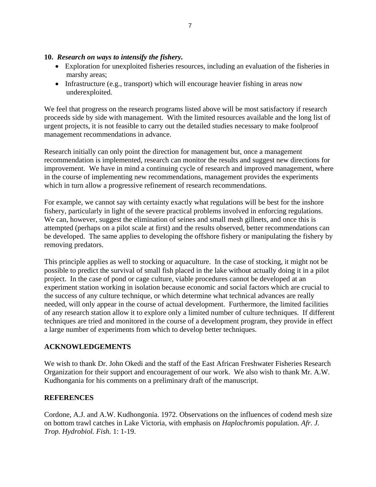#### **10.** *Research on ways to intensify the fishery.*

- Exploration for unexploited fisheries resources, including an evaluation of the fisheries in marshy areas;
- Infrastructure (e.g., transport) which will encourage heavier fishing in areas now underexploited.

We feel that progress on the research programs listed above will be most satisfactory if research proceeds side by side with management. With the limited resources available and the long list of urgent projects, it is not feasible to carry out the detailed studies necessary to make foolproof management recommendations in advance.

Research initially can only point the direction for management but, once a management recommendation is implemented, research can monitor the results and suggest new directions for improvement. We have in mind a continuing cycle of research and improved management, where in the course of implementing new recommendations, management provides the experiments which in turn allow a progressive refinement of research recommendations.

For example, we cannot say with certainty exactly what regulations will be best for the inshore fishery, particularly in light of the severe practical problems involved in enforcing regulations. We can, however, suggest the elimination of seines and small mesh gillnets, and once this is attempted (perhaps on a pilot scale at first) and the results observed, better recommendations can be developed. The same applies to developing the offshore fishery or manipulating the fishery by removing predators.

This principle applies as well to stocking or aquaculture. In the case of stocking, it might not be possible to predict the survival of small fish placed in the lake without actually doing it in a pilot project. In the case of pond or cage culture, viable procedures cannot be developed at an experiment station working in isolation because economic and social factors which are crucial to the success of any culture technique, or which determine what technical advances are really needed, will only appear in the course of actual development. Furthermore, the limited facilities of any research station allow it to explore only a limited number of culture techniques. If different techniques are tried and monitored in the course of a development program, they provide in effect a large number of experiments from which to develop better techniques.

#### **ACKNOWLEDGEMENTS**

We wish to thank Dr. John Okedi and the staff of the East African Freshwater Fisheries Research Organization for their support and encouragement of our work. We also wish to thank Mr. A.W. Kudhongania for his comments on a preliminary draft of the manuscript.

#### **REFERENCES**

Cordone, A.J. and A.W. Kudhongonia. 1972. Observations on the influences of codend mesh size on bottom trawl catches in Lake Victoria, with emphasis on *Haplochromis* population. *Afr. J. Trop. Hydrobiol. Fish.* 1: 1-19.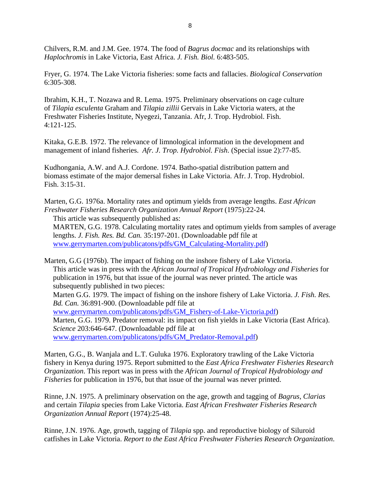Chilvers, R.M. and J.M. Gee. 1974. The food of *Bagrus docmac* and its relationships with *Haplochromis* in Lake Victoria, East Africa. *J. Fish. Biol.* 6:483-505.

Fryer, G. 1974. The Lake Victoria fisheries: some facts and fallacies. *Biological Conservation* 6:305-308.

Ibrahim, K.H., T. Nozawa and R. Lema. 1975. Preliminary observations on cage culture of *Tilapia esculenta* Graham and *Tilapia zillii* Gervais in Lake Victoria waters, at the Freshwater Fisheries Institute, Nyegezi, Tanzania. Afr, J. Trop. Hydrobiol. Fish. 4:121-125.

Kitaka, G.E.B. 1972. The relevance of limnological information in the development and management of inland fisheries. *Afr. J. Trop. Hydrobiol. Fish*. (Special issue 2):77-85.

Kudhongania, A.W. and A.J. Cordone. 1974. Batho-spatial distribution pattern and biomass estimate of the major demersal fishes in Lake Victoria. Afr. J. Trop. Hydrobiol. Fish. 3:15-31.

Marten, G.G. 1976a. Mortality rates and optimum yields from average lengths. *East African Freshwater Fisheries Research Organization Annual Report* (1975):22-24.

This article was subsequently published as: MARTEN, G.G. 1978. Calculating mortality rates and optimum yields from samples of average lengths. *J. Fish. Res. Bd. Can.* 35:197-201. (Downloadable pdf file at [www.gerrymarten.com/publicatons/pdfs/GM\\_Calculating-Mortality.pdf\)](http://www.gerrymarten.com/publicatons/pdfs/GM_Calculating-Mortality.pdf)

Marten, G.G (1976b). The impact of fishing on the inshore fishery of Lake Victoria. This article was in press with the *African Journal of Tropical Hydrobiology and Fisheries* for publication in 1976, but that issue of the journal was never printed. The article was subsequently published in two pieces: Marten G.G. 1979. The impact of fishing on the inshore fishery of Lake Victoria. *J. Fish. Res. Bd. Can.* 36:891-900. (Downloadable pdf file at [www.gerrymarten.com/publicatons/pdfs/GM\\_Fishery-of-Lake-Victoria.pdf](http://www.gerrymarten.com/publicatons/pdfs/GM_Fishery-of-Lake-Victoria.pdf))

Marten, G.G. 1979. Predator removal: its impact on fish yields in Lake Victoria (East Africa). *Science* 203:646-647. (Downloadable pdf file at [www.gerrymarten.com/publicatons/pdfs/GM\\_Predator-Removal.pdf\)](http://www.gerrymarten.com/publicatons/pdfs/GM_Predator-Removal.pdf)

Marten, G.G., B. Wanjala and L.T. Guluka 1976. Exploratory trawling of the Lake Victoria fishery in Kenya during 1975. Report submitted to the *East Africa Freshwater Fisheries Research Organization*. This report was in press with the *African Journal of Tropical Hydrobiology and Fisheries* for publication in 1976, but that issue of the journal was never printed.

Rinne, J.N. 1975. A preliminary observation on the age, growth and tagging of *Bagrus*, *Clarias* and certain *Tilapia* species from Lake Victoria. *East African Freshwater Fisheries Research Organization Annual Report* (1974):25-48.

Rinne, J.N. 1976. Age, growth, tagging of *Tilapia* spp. and reproductive biology of Siluroid catfishes in Lake Victoria. *Report to the East Africa Freshwater Fisheries Research Organization*.